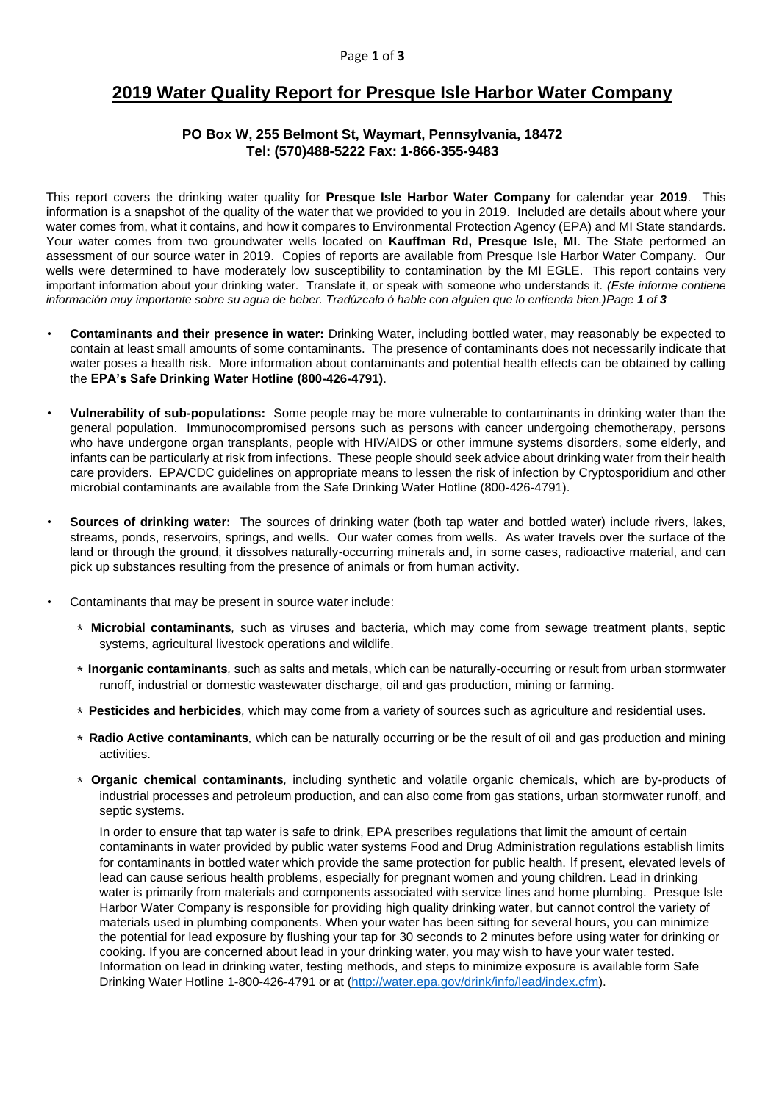#### Page **1** of **3**

# **2019 Water Quality Report for Presque Isle Harbor Water Company**

### **PO Box W, 255 Belmont St, Waymart, Pennsylvania, 18472 Tel: (570)488-5222 Fax: 1-866-355-9483**

This report covers the drinking water quality for **Presque Isle Harbor Water Company** for calendar year **2019**. This information is a snapshot of the quality of the water that we provided to you in 2019. Included are details about where your water comes from, what it contains, and how it compares to Environmental Protection Agency (EPA) and MI State standards. Your water comes from two groundwater wells located on **Kauffman Rd, Presque Isle, MI**. The State performed an assessment of our source water in 2019. Copies of reports are available from Presque Isle Harbor Water Company. Our wells were determined to have moderately low susceptibility to contamination by the MI EGLE. This report contains very important information about your drinking water. Translate it, or speak with someone who understands it. *(Este informe contiene información muy importante sobre su agua de beber. Tradúzcalo ó hable con alguien que lo entienda bien.)Page 1 of 3*

- **Contaminants and their presence in water:** Drinking Water, including bottled water, may reasonably be expected to contain at least small amounts of some contaminants. The presence of contaminants does not necessarily indicate that water poses a health risk. More information about contaminants and potential health effects can be obtained by calling the **EPA's Safe Drinking Water Hotline (800-426-4791)**.
- **Vulnerability of sub-populations:** Some people may be more vulnerable to contaminants in drinking water than the general population. Immunocompromised persons such as persons with cancer undergoing chemotherapy, persons who have undergone organ transplants, people with HIV/AIDS or other immune systems disorders, some elderly, and infants can be particularly at risk from infections. These people should seek advice about drinking water from their health care providers. EPA/CDC guidelines on appropriate means to lessen the risk of infection by Cryptosporidium and other microbial contaminants are available from the Safe Drinking Water Hotline (800-426-4791).
- **Sources of drinking water:** The sources of drinking water (both tap water and bottled water) include rivers, lakes, streams, ponds, reservoirs, springs, and wells. Our water comes from wells. As water travels over the surface of the land or through the ground, it dissolves naturally-occurring minerals and, in some cases, radioactive material, and can pick up substances resulting from the presence of animals or from human activity.
- Contaminants that may be present in source water include:
	- ∗ **Microbial contaminants***,* such as viruses and bacteria, which may come from sewage treatment plants, septic systems, agricultural livestock operations and wildlife.
	- ∗ **Inorganic contaminants***,* such as salts and metals, which can be naturally-occurring or result from urban stormwater runoff, industrial or domestic wastewater discharge, oil and gas production, mining or farming.
	- ∗ **Pesticides and herbicides***,* which may come from a variety of sources such as agriculture and residential uses.
	- ∗ **Radio Active contaminants***,* which can be naturally occurring or be the result of oil and gas production and mining activities.
	- ∗ **Organic chemical contaminants***,* including synthetic and volatile organic chemicals, which are by-products of industrial processes and petroleum production, and can also come from gas stations, urban stormwater runoff, and septic systems.

In order to ensure that tap water is safe to drink, EPA prescribes regulations that limit the amount of certain contaminants in water provided by public water systems Food and Drug Administration regulations establish limits for contaminants in bottled water which provide the same protection for public health. If present, elevated levels of lead can cause serious health problems, especially for pregnant women and young children. Lead in drinking water is primarily from materials and components associated with service lines and home plumbing. Presque Isle Harbor Water Company is responsible for providing high quality drinking water, but cannot control the variety of materials used in plumbing components. When your water has been sitting for several hours, you can minimize the potential for lead exposure by flushing your tap for 30 seconds to 2 minutes before using water for drinking or cooking. If you are concerned about lead in your drinking water, you may wish to have your water tested. Information on lead in drinking water, testing methods, and steps to minimize exposure is available form Safe Drinking Water Hotline 1-800-426-4791 or at [\(http://water.epa.gov/drink/info/lead/index.cfm\)](http://water.epa.gov/drink/info/lead/index.cfm).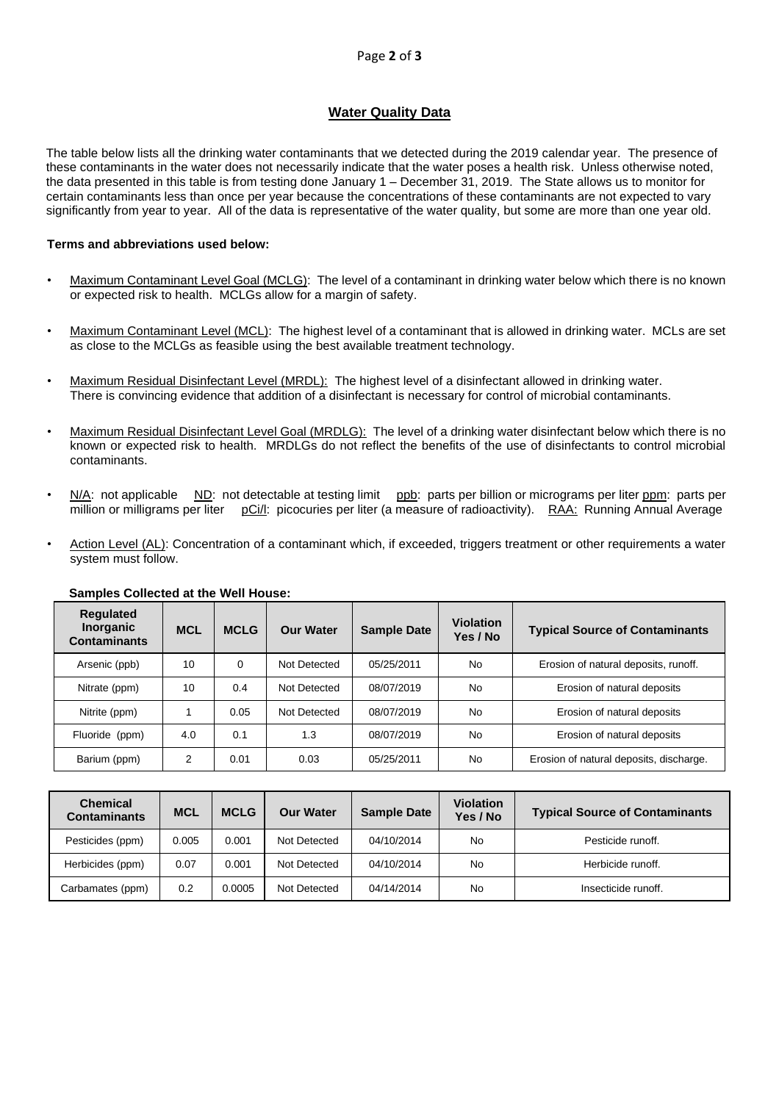## **Water Quality Data**

The table below lists all the drinking water contaminants that we detected during the 2019 calendar year. The presence of these contaminants in the water does not necessarily indicate that the water poses a health risk. Unless otherwise noted, the data presented in this table is from testing done January 1 – December 31, 2019. The State allows us to monitor for certain contaminants less than once per year because the concentrations of these contaminants are not expected to vary significantly from year to year. All of the data is representative of the water quality, but some are more than one year old.

### **Terms and abbreviations used below:**

- Maximum Contaminant Level Goal (MCLG): The level of a contaminant in drinking water below which there is no known or expected risk to health. MCLGs allow for a margin of safety.
- Maximum Contaminant Level (MCL): The highest level of a contaminant that is allowed in drinking water. MCLs are set as close to the MCLGs as feasible using the best available treatment technology.
- Maximum Residual Disinfectant Level (MRDL): The highest level of a disinfectant allowed in drinking water. There is convincing evidence that addition of a disinfectant is necessary for control of microbial contaminants.
- Maximum Residual Disinfectant Level Goal (MRDLG): The level of a drinking water disinfectant below which there is no known or expected risk to health. MRDLGs do not reflect the benefits of the use of disinfectants to control microbial contaminants.
- N/A: not applicable ND: not detectable at testing limit ppb: parts per billion or micrograms per liter ppm: parts per million or milligrams per liter pCi/l: picocuries per liter (a measure of radioactivity). RAA: Running Annual Average
- Action Level (AL): Concentration of a contaminant which, if exceeded, triggers treatment or other requirements a water system must follow.

| <b>Requlated</b><br><b>Inorganic</b><br><b>Contaminants</b> | <b>MCL</b> | <b>MCLG</b> | <b>Our Water</b> | <b>Sample Date</b> | <b>Violation</b><br>Yes / No | <b>Typical Source of Contaminants</b>   |
|-------------------------------------------------------------|------------|-------------|------------------|--------------------|------------------------------|-----------------------------------------|
| Arsenic (ppb)                                               | 10         | 0           | Not Detected     | 05/25/2011         | No                           | Erosion of natural deposits, runoff.    |
| Nitrate (ppm)                                               | 10         | 0.4         | Not Detected     | 08/07/2019         | No                           | Erosion of natural deposits             |
| Nitrite (ppm)                                               |            | 0.05        | Not Detected     | 08/07/2019         | <b>No</b>                    | Erosion of natural deposits             |
| Fluoride (ppm)                                              | 4.0        | 0.1         | 1.3              | 08/07/2019         | No                           | Erosion of natural deposits             |
| Barium (ppm)                                                | 2          | 0.01        | 0.03             | 05/25/2011         | No                           | Erosion of natural deposits, discharge. |

### **Samples Collected at the Well House:**

| <b>Chemical</b><br><b>Contaminants</b> | <b>MCL</b> | <b>MCLG</b> | <b>Our Water</b> | <b>Sample Date</b> | <b>Violation</b><br>Yes / No | <b>Typical Source of Contaminants</b> |
|----------------------------------------|------------|-------------|------------------|--------------------|------------------------------|---------------------------------------|
| Pesticides (ppm)                       | 0.005      | 0.001       | Not Detected     | 04/10/2014         | No                           | Pesticide runoff.                     |
| Herbicides (ppm)                       | 0.07       | 0.001       | Not Detected     | 04/10/2014         | No                           | Herbicide runoff.                     |
| Carbamates (ppm)                       | 0.2        | 0.0005      | Not Detected     | 04/14/2014         | No                           | Insecticide runoff.                   |